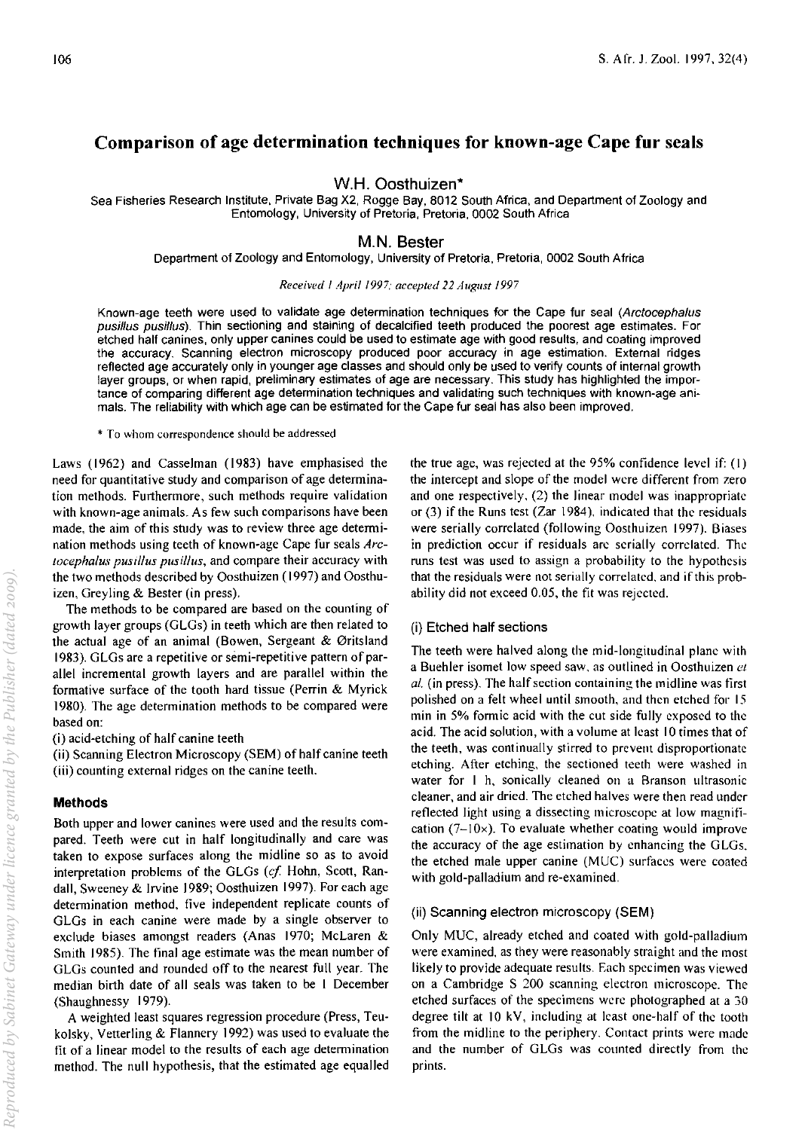# Comparison of age determination techniques for known-age Cape fur seals

W.H. Oosthuizen\*

Sea Fisheries Research Institute, Private Bag X2, Rogge Bay, 8012 South Africa, and Department of Zoology and Entomology, University of Pretoria, Pretoria, 0002 South Africa

# M.N. Bester

Department of Zoology and Entomology, University of Pretoria, Pretoria, 0002 South Africa

#### *Received I April 1997; accepted* 22 *August /997*

Known-age teeth were used to validate age determination techniques for the Cape fur seal (Arctocephalus pusillus pusi/lus). Thin sectioning and staining of decalcified teeth produced the poorest age estimates. For etched half canines, only upper canines could be used to estimate age with good results, and coating improved the accuracy. Scanning electron microscopy produced poor accuracy in age estimation. External ridges reflected age accurately only in younger age classes and should only be used to verify counts of internal growth layer groups, or when rapid, preliminary estimates of age are necessary. This study has highlighted the importance of comparing different age determination techniques and validating such techniques with known-age animals. The reliability with which age can be estimated for the Cape fur seal has also been improved.

\* To \\'hom correspondence should be addressed

Laws (1962) and Casselman (1983) have emphasised the need for quantitative study and comparison of age determination methods. Furthermore, such methods require validation with known-age animals. As few such comparisons have been made. the aim of this study was to review three age determination methods using teeth of known~age Cape fur seals *Arclocephalus pustl/us pustl/us,* and compare their accuracy with the two methods described by Oosthuizen ( 1997) and Oosthuizen, Greyling & Bester (in press).

The methods to be compared are based on the counting of growth layer groups (GLGs) in teeth which are then related to the actual age of an animal (Bowen, Sergeant & Øritsland 1983). GLGs are a repetitive or semi-repetitive pattern of parallel incremental growth layers and are parallel within the formative surface of the tooth hard tissue (Perrin & Myrick 1980). The age determination methods to be compared were based on:

(i) acid-etching of half canine teeth

(ii) Scanning Electron Microscopy (SEM) of half canine teeth (iii) counting external ridges on the canine teeth.

## Methods

Both upper and lower canines were used and the results compared. Teeth were cut in half longitudinally and care was taken to expose surfaces along the midline so as to avoid interpretation problems of the GLGs (cf. Hohn, Scott, Randall, Sweeney & Irvine 1989; Oosthuizen 1997). For each age determination method, five independent replicate counts of GLGs in each canine were made by a single observer to exclude biases amongst readers (Anas 1970; McLaren & Smith 1985). The final age estimate was the mean number of GLGs counted and rounded off to the nearest full year. The median birth date of all seals was taken to be I December (Shaughnessy 1979).

A weighted least squares regression procedure (Press, Teukolsky, Vetterling & Flannery 1992) was used to evaluate the fit of a linear model to the results of each age determination method. The null hypothesis, that the estimated age equalled the true age, was rejected at the 95% confidence level if: (I) the intercept and slope of the model were different from zero and one respectively. (2) the linear model was inappropriate or (3) if the Runs test (Zar 1984). indicated that the residuals were serially correlated (following Oosthuizen 1997). Biases in prediction occur if residuals arc serially correlated. The runs test was used to assign a probability to the hypothesis that the residuals were not serially correlated. and if this probability did not exceed 0.05, the fit was rejected.

## (i) Etched half sections

The teeth were halved along the mid-longitudinal plane with a Buehler isomet low speed saw, as outlined in Oosthuizen et *al.* (in press). The half section containing the midline was first polished on a felt wheel until smooth, and then etched for 15 min in 5% formic acid with the cut side fully exposed to the acid. The acid solution, with a volume at least 10 times that of the teeth, was continually stirred to prevent disproportionate etching. After etching, the sectioned teeth were washed in water for I h, sonically cleaned on a Branson ultrasonic cleaner, and air dried. The etched halves were then read under reflected light using a dissecting microscope at low magnification ( $7-10\times$ ). To evaluate whether coating would improve the accuracy of the age estimation by enhancing the GLGs. the etched male upper canine (MUC) surfaces were coated with gold-palladium and re-examined.

## (ii) Scanning electron microscopy (SEM)

Only MUC, already etched and coated with gold-palladium were examined, as they were reasonably straight and the most likely to provide adequate results. Each specimen was viewed on a Cambridge S 200 scanning electron microscope. The etched surfaces of the specimens were photographed at a 30 degree tilt at 10 kV, including at least one-half of the tooth from the midline to the periphery. Contact prints were made and the number of GLGs was counted directly from the prints.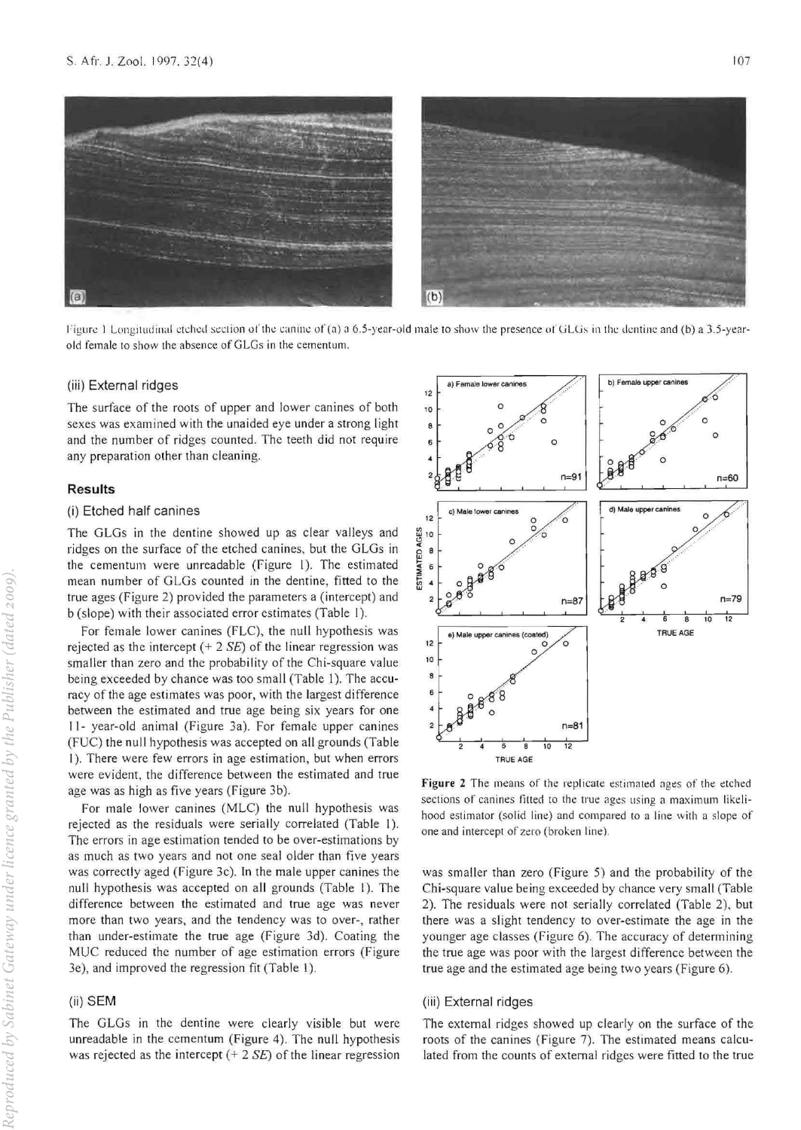

Figure 1 Longitudinal etched section of the canine of (a) a 6.5-year-old male to show the presence of GLGs in the dentine and (b) a 3.5-yearold female to show the absence of GLGs in the cementum.

## (iii) External ridges

The surface of the roots of upper and lower canines of both sexes was examined with the unaided eye under a strong light and the number of ridges counted. The teeth did not require any preparation other than cleaning.

#### Results

## (i) Etched half canines

The GLGs in the dentine showed up as clear valleys and ridges on the surface of the etched canines, but the GLGs in the cementum were unreadable (Figure I). The estimated mean number of GLGs counted in the dentine, fitted to the true ages (Figure 2) provided the parameters a (intercept) and b (slope) with their associated error estimates (Table I).

For female lower canines (FLC), the null hypothesis was rejected as the intercept  $(+ 2 SE)$  of the linear regression was smaller than zero and the probability of the Chi-square value being exceeded by chance was too small (Table 1). The accuracy of the age estimates was poor, with the largest difference between the estimated and true age being six years for one 11- year-old animal (Figure 3a). For female upper canines (FUC) the null hypothesis was accepted on all grounds (Table 1). There were few errors in age estimation, but when errors were evident, the difference between the estimated and true age was as high as five years (Figure 3b).

For male lower canines (MLC) the null hypothesis was rejected as the residuals were serially correlated (Table 1). The errors in age estimation tended to be over-estimations by as much as two years and not one seal older than five years was correctly aged (Figure 3c). In the male upper canines the null hypothesis was accepted on all grounds (Table I). The difference between the estimated and true age was never more than two years. and the tendency was to over-, rather than under-estimate the true age (Figure 3d). Coating the MUC reduced the number of age estimation errors (Figure 3e), and improved the regression fit (Table I).

# (ii) SEM

The GLGs in the dentine were clearly visible but were unreadable in the cementum (Figure 4). The null hypothesis was rejected as the intercept  $(+ 2 SE)$  of the linear regression



Figure 2 The means of the replicate estimated ages of the etched sections of canines fitted to the true ages using a maximum likelihood estimator (solid line) and compared to a line with a slope of one and intercept or zero (broken line).

was smaller than zero (Figure 5) and the probability of the Chi-square value being exceeded by chance very small (Table 2). The residuals were not serially correlated (Table 2), but there was a slight tendency to over·estimate the age in the younger age classes (Figure 6). The accuracy of determining the true age was poor with the largest difference between the true age and the estimated age being two years (Figure 6).

#### (iii) External ridges

The external ridges showed up clearly on the surface of the roots of the canines (Figure 7). The estimated means calculated from the counts of external ridges were fitted to the true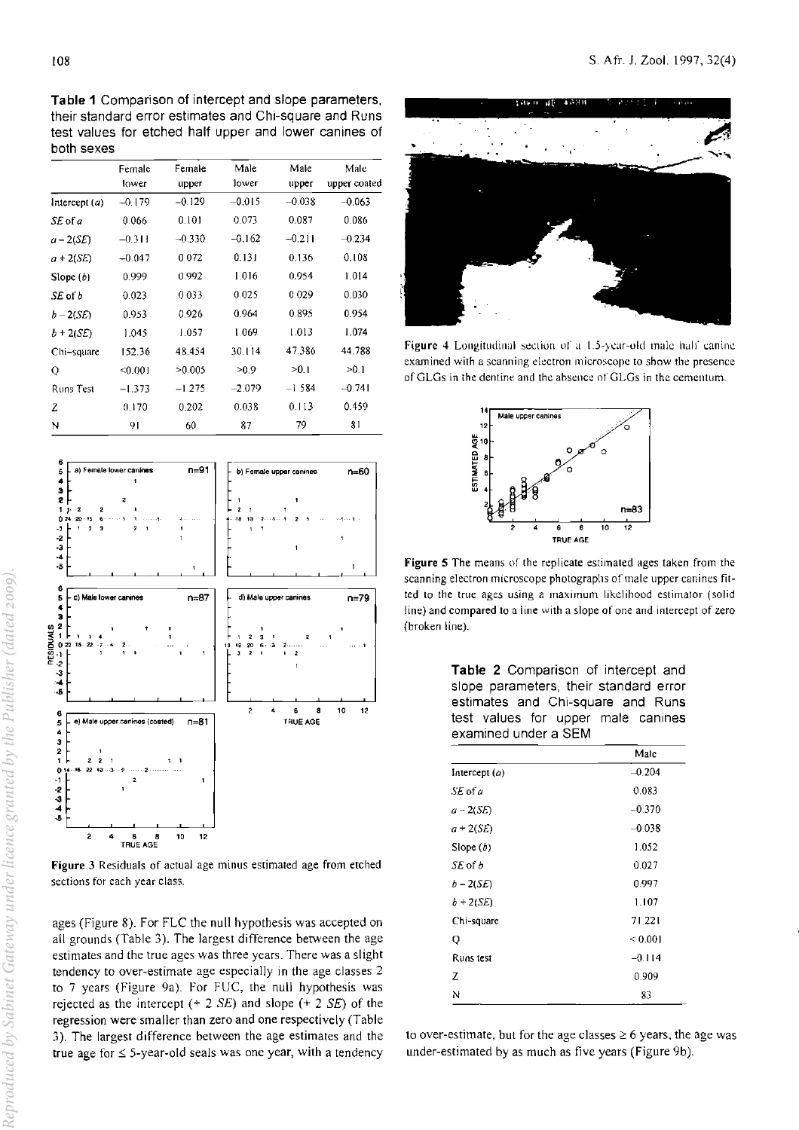Table 1 Comparison of intercept and slope parameters, their standard error estimates and Chi-square and Runs test values for etched half upper and lower canines of both sexes

|                  | Female   | Female   | Male     | Male     | Male         |
|------------------|----------|----------|----------|----------|--------------|
|                  | lower    | upper    | lower    | upper    | upper coated |
| Intercept(a)     | $-0.179$ | $-0.129$ | $-0.015$ | $-0.038$ | $-0.063$     |
| $SL$ of $a$      | 0.066    | 0.101    | 0.073    | 0.087    | 0.086        |
| $a - 2(SE)$      | $-0.311$ | $-0.330$ | $-0.162$ | $-0.211$ | $-0.234$     |
| $a + 2(SE)$      | $-0.047$ | 0.072    | 0.131    | 0.136    | 0.108        |
| Slope $(b)$      | 0.999    | 0.992    | 1.016    | 0.954    | 1.014        |
| SE of b          | 0.023    | 0.033    | 0.025    | 0.029    | 0.030        |
| $b - 2(SE)$      | 0.953    | 0.926    | 0.964    | 0.895    | 0.954        |
| $b + 2(SE)$      | 1.045    | 1.057    | 1.069    | 1.013    | 1.074        |
| Chi-square       | 152.36   | 48.454   | 30.114   | 47.386   | 44.788       |
| O                | < 0.001  | >0.005   | >0.9     | >0.1     | >0.1         |
| <b>Runs Test</b> | $-1.373$ | $-1.275$ | $-2.079$ | $-1.584$ | $-0.741$     |
| z                | 0.170    | 0.202    | 0.038    | 0.113    | 0.459        |
| N                | 91       | 60       | 87       | 79       | 81           |



Figure 3 Residuals of actual age minus estimated age from etched sections for each year class.

ages (Figure 8). For FLC the null hypothesis was accepted on all grounds (Table 3). The largest difference between the age estimates and the true ages was three years. There was a slight tendency to over-estimate age especially in the age classes 2 to 7 years (Figure 9a). For FUC, the null hypothesis was rejected as the intercept  $(+ 2 SE)$  and slope  $(+ 2 SE)$  of the regression were smaller than zero and one respectively (Table 3). The largest difference between the age estimates and the true age for  $\leq$  5-year-old seals was one year, with a tendency



Figure 4 Longitudinal section of a 1.5-year-old male half canine examined with a scanning electron microscope to show the presence of GLGs in the dentine and the absence of GLGs in the cementum.



Figure 5 The means of the replicate estimated ages taken from the scanning electron microscope photographs of male upper canines fitted to the true ages using a maximum likelihood estimator (solid line) and compared to a tine with a slope of one and intercept of zero (broken line).

Table 2 Comparison of intercept and slope parameters, their standard error estimates and Chi-square and Runs test values for upper male canines examined under a SEM

|                 | Malc         |  |  |
|-----------------|--------------|--|--|
| Intercept $(a)$ | $-0.204$     |  |  |
| SE of a         | 0.083        |  |  |
| $a - 2(SE)$     | $-0.370$     |  |  |
| $a+2(SE)$       | $-0.038$     |  |  |
| Slope (b)       | 1.052        |  |  |
| SE of b         | 0.027        |  |  |
| $b - 2(SE)$     | 0.997        |  |  |
| $b + 2(SE)$     | 1.107        |  |  |
| Chi-square      | 71.221       |  |  |
| Q               | ${}_{0.001}$ |  |  |
| Runs test       | $-0.114$     |  |  |
| z               | 0.909        |  |  |
| N               | 83           |  |  |

to over-estimate, but for the age classes  $\geq 6$  years, the age was under-estimated by as much as five years (Figure 9b).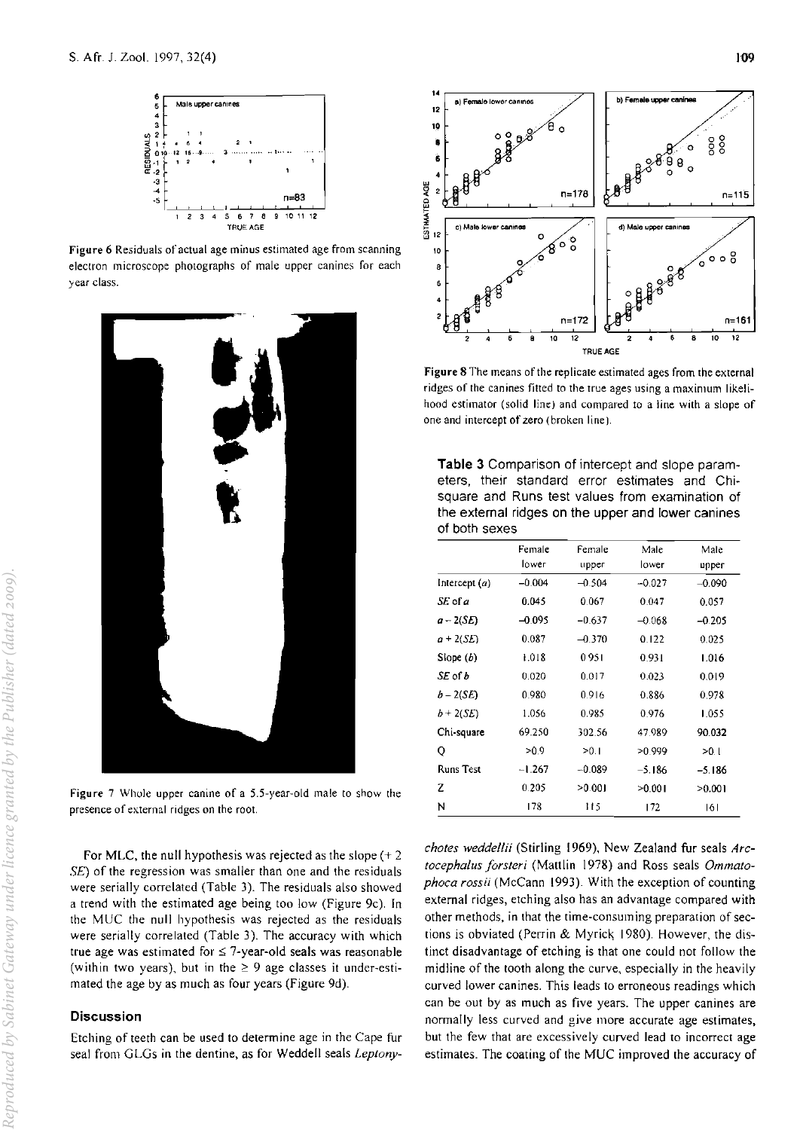

**Figure 6 Residuals** of actual **age minus estimated age from scanning electron microscope photographs of male upper canines for each year class.** 



**Figure 7 Whole upper canine of a 5.5·year-old male to show the presence of external ridges on the root.** 

For MLC, the null hypothesis was rejected as the slope  $(+ 2)$ SE) of the regression was smaller than one and the residuals were serially correlated (Table 3). The residuals also showed a trend with the estimated age being too low (Figure 9c). In the MUC the null hypothesis was rejected as the residuals were serially correlated (Table 3). The accuracy with which true age was estimated for  $\leq$  7-year-old seals was reasonable (within two years), but in the  $\geq 9$  age classes it under-estimated the age by as much as four years (Figure 9d).

# **Discussion**

**Etching of teeth can be used to determine age in the Cape fur**  seal from GLGs in the dentine, as for Weddell seals *Leplony-*



Figure 8 The means of the replicate estimated ages from the external **ridges** of the **canines fitted to the true ages using a maximum likelihood estimator (solid** lin~) **and compared to a line with a slope of one and intercept of zero (broken line).** 

**Table 3** Comparison of intercept and slope parameters, their standard error estimates and Chisquare and Runs test values from examination of the external ridges on the upper and lower canines of both sexes

|                  | Female   | Female   | Male     | Male     |
|------------------|----------|----------|----------|----------|
|                  | lo wer   | upper    | lower    | upper    |
| Intercept $(a)$  | $-0.004$ | $-0.504$ | $-0.027$ | $-0.090$ |
| SE of a          | 0.045    | 0.067    | 0.047    | 0.057    |
| $a - 2(SE)$      | $-0.095$ | $-0.637$ | $-0.068$ | $-0.205$ |
| $a + 2(SE)$      | 0.087    | $-0.370$ | 0.122    | 0.025    |
| Slope (b)        | 1.018    | 0951     | 0.931    | 1.016    |
| SE of b          | 0.020    | 0.017    | 0.023    | 0.019    |
| $b - 2(SE)$      | 0.980    | 0.916    | 0.886    | 0.978    |
| $b+2(SE)$        | 1.056    | 0.985    | 0.976    | 1.055    |
| Chi-square       | 69.250   | 302.56   | 47.989   | 90.032   |
| Q                | >0.9     | >0.1     | >0.999   | $-0.1$   |
| <b>Runs Test</b> | $-1.267$ | $-0.089$ | -5.186   | $-5.186$ |
| z                | 0.205    | >0.001   | >0.001   | >0.001   |
| N                | 178      | 115      | 172      | 161      |

*chotes weddellii* (Stirling 1969), New Zealand fur seals *Arclocephalus jorsleri* (Mattlin 1978) and Ross seals *Ommalophoca rossii* (McCann 1993). With the exception of counting external ridges, etching also has an advantage compared with **other methods, in that the time-consuming preparation of sec**tions is obviated (Perrin & Myrick 1980). However, the distinct disadvantage of etching is that one could not follow the midline of the tooth along the curve, especially in the heavily **curved lower canines. This leads to erroneous readings which can be out by as much as five years. The upper canines are**  normally less curved and give more accurate age estimates, **but the few that are excessively curved lead to incorrect age**  estimates. The coating of the MUC improved the accuracy of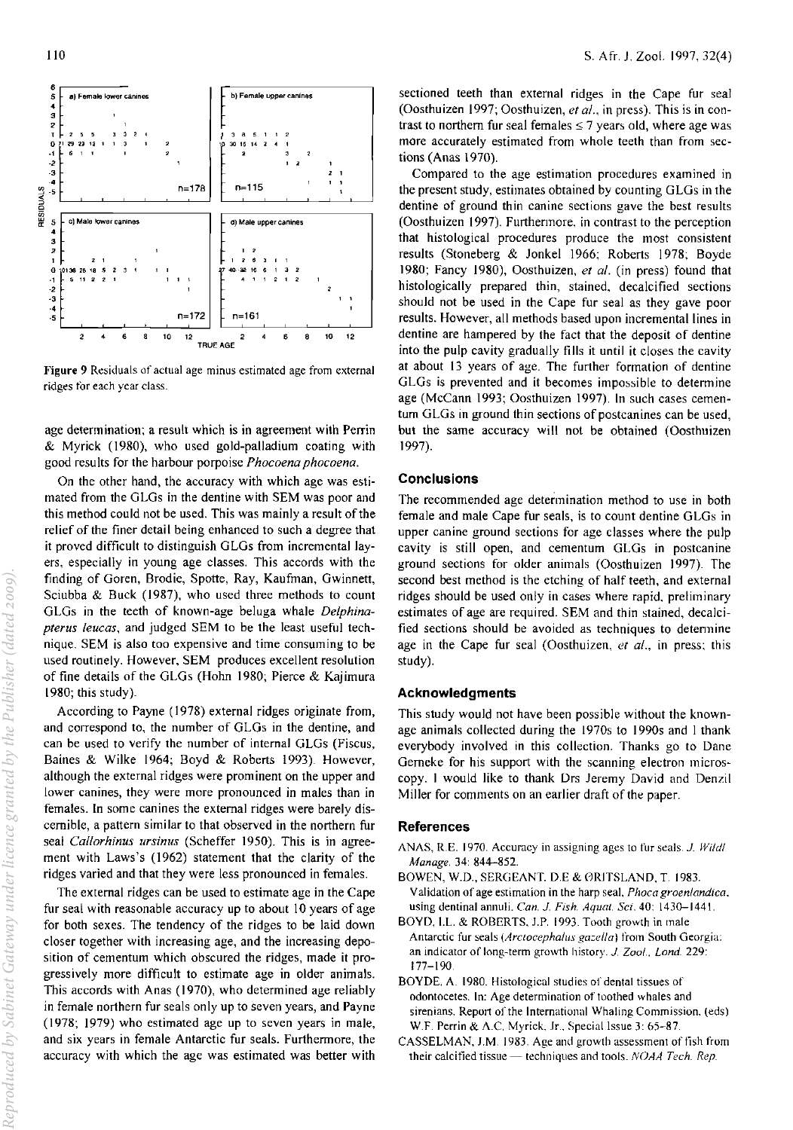

Figure 9 Residuals of actual age minus estimated age from external ridges for each year class.

age determination; a result which is in agreement with Perrin & Myrick (1980), who used gold-palladium coating with good results for the harbour porpoise *Phocoena phocoena*.

On the other hand, the accuracy with which age was estimated from the GLGs in the dentine with SEM was poor and this method could not be used. This was mainly a result of the relief of the finer detail being enhanced to such a degree that it proved difficult to distinguish GLGs from incremental layers, especially in young age classes. This accords with the finding of Goren, Brodie, Spotte, Ray, Kaufman, Gwinnett, Sciubba & Buck (1987), who used three methods to count GLGs in the teeth of known-age beluga whale *Delphinaplerus leuGas,* and judged SEM to be the least useful technique. SEM is also too expensive and time consuming to be used routinely. However, SEM produces excellent resolution of fine details of the GLGs (Hohn 1980; Pierce & Kajimura 1980; this study).

According to Payne (1978) external ridges originate from, and correspond to, the number of GLGs in the dentine, and can be used to verify the number of internal GLGs (Fiscus, Baines & Wilke 1964; Boyd & Roberts 1993). However, although the external ridges were prominent on the upper and lower canines, they were more pronounced in males than in females. In some canines the external ridges were barely discernible, a pattern similar to that observed in the northern fur seal *Callorhinus ursinus* (Scheffer 1950). This is in agreement with Laws's (1962) statement that the clarity of the ridges varied and that they were less pronounced in females.

The external ridges can be used to estimate age in the Cape fur seal with reasonable accuracy up to about 10 years of age for both sexes. The tendency of the ridges to be laid down closer together with increasing age, and the increasing deposition of cementum which obscured the ridges, made it progressively more difficult to estimate age in older animals. This accords with Anas (1970), who determined age reliably in female northern fur seals only up to seven years, and Payne (1978; 1979) who estimated age up to seven years in male, and six years in female Antarctic fur seals. Furthermore, the accuracy with which the age was estimated was better with sectioned teeth than external ridges in the Cape fur seal (Oosthuizen 1997; Oosthuizen, *et al.*, in press). This is in contrast to northern fur seal females  $\leq 7$  years old, where age was more accurately estimated from whole teeth than from sections (Anas 1970).

Compared to the age estimation procedures examined in the present study, estimates obtained by counting GLGs in the dentine of ground thin canine sections gave the best results (Oosthuizen 1997). Furthermore, in contrast to the perception that histological procedures produce the most consistent results (Stoneberg & Jonkel 1966; Roberts 1978; Boyde 1980; Fancy 1980), Oosthuizen, *el al.* (in press) found that histologically prepared thin, stained, decalcified sections should not be used in the Cape fur seal as they gave poor results. However, all methods based upon incremental lines in dentine are hampered by the fact that the deposit of dentine into the pulp cavity gradually fills it until it closes the cavity at about 13 years of age. The further formation of dentine GLGs is prevented and it becomes impossible to determine age (McCann 1993; Oosthuizen 1997). In such cases cementum GLGs in ground thin sections of postcanines can be used, but the same accuracy will not be obtained (Oosthuizen 1997).

## Conclusions

The recommended age determination method to use in both female and male Cape fur seals, is to count dentine GLGs in upper canine ground sections for age classes where the pulp cavity is still open, and cementum GLGs in postcanine ground sections for older animals (Oosthuizen 1997). The second best method is the etching of half teeth, and external ridges should be used only in cases where rapid. preliminary estimates of age are required. SEM and thin stained, decalcified sections should be avoided as techniques to determine age in the Cape fur seal (Oosthuizen, *el al.,* in press: this study).

#### Acknowledgments

This study would not have been possible without the knownage animals collected during the 1970s to 1990s and I thank everybody involved in this collection. Thanks go to Dane Gemeke for his support with the scanning electron microscopy. I would like to thank Drs Jeremy David and Denzil Miller for comments on an earlier draft of the paper.

## References

- ANAS, R.E. 1970. Accuracy in assigning ages to fur seals. *J. Wildl. Manage.* 34: 844-852.
- BOWEN, W.D., SERGEANT. D.E & ØRITSLAND, T. 1983. Validation of age estimation in the harp seal, *Phoca groenlandica.*  using dentinal annuli. *Can. J. Fish. Aqua!. Sci.* 40: 1430-1441.
- BOYD. LL. & ROBERTS. J.P. 1993. Tooth growth in male Antarctic fur seals *(Arctocephalus gazella)* from South Georgia: an indicator of long-term growth history. J. *Zoot .. Lond. 229:*  177-190
- BOYDE, A. 1980. Histological studies of dental tissues of odontocetes. In: Age determination of toothed whales and sirenians. Report of the International Whaling Commission. (eds) W.F. Perrin & A.C. Myrick, Jr., Special Issue 3: 65-87.
- CASSELMAN, J.M. 1983. Age and growth assessment of fish from their calcified tissue - techniques and tools. *NOAA Tech. Rep.*